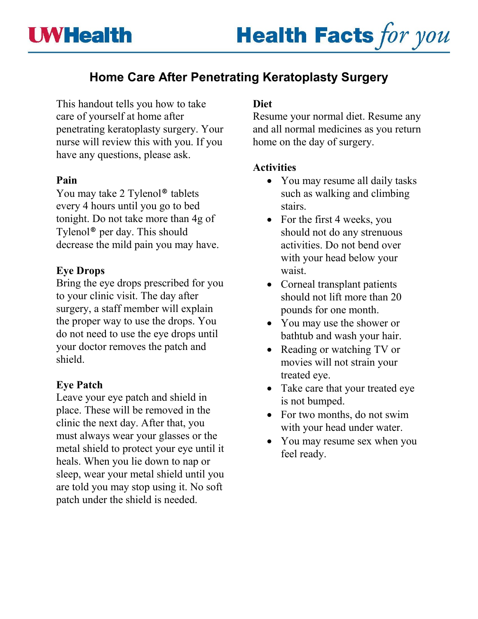# **Home Care After Penetrating Keratoplasty Surgery**

This handout tells you how to take care of yourself at home after penetrating keratoplasty surgery. Your nurse will review this with you. If you have any questions, please ask.

## **Pain**

You may take 2 Tylenol<sup>®</sup> tablets every 4 hours until you go to bed tonight. Do not take more than 4g of Tylenol® per day. This should decrease the mild pain you may have.

## **Eye Drops**

Bring the eye drops prescribed for you to your clinic visit. The day after surgery, a staff member will explain the proper way to use the drops. You do not need to use the eye drops until your doctor removes the patch and shield.

#### **Eye Patch**

Leave your eye patch and shield in place. These will be removed in the clinic the next day. After that, you must always wear your glasses or the metal shield to protect your eye until it heals. When you lie down to nap or sleep, wear your metal shield until you are told you may stop using it. No soft patch under the shield is needed.

## **Diet**

Resume your normal diet. Resume any and all normal medicines as you return home on the day of surgery.

#### **Activities**

- You may resume all daily tasks such as walking and climbing stairs.
- For the first 4 weeks, you should not do any strenuous activities. Do not bend over with your head below your waist.
- Corneal transplant patients should not lift more than 20 pounds for one month.
- You may use the shower or bathtub and wash your hair.
- Reading or watching TV or movies will not strain your treated eye.
- Take care that your treated eye is not bumped.
- For two months, do not swim with your head under water.
- You may resume sex when you feel ready.